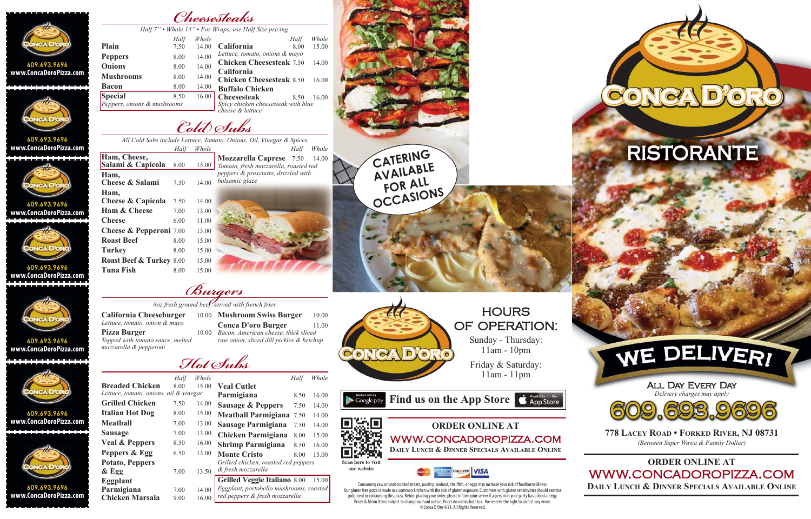*Hot Subs*

*Burgers 8oz fresh ground beef, served with french fries*

*Cold Subs*



**DAILY LUNCH & DINNER SPECIALS AVAILABLE ONLINE**

| Cheesesteaks                         |
|--------------------------------------|
| Whole 14" . For Wraps, use Half Size |

*All Cold Subs include Lettuce, Tomato, Onions, Oil, Vinegar & Spices Half Whole*

|                             |      |       | Half 7" • Whole 14" • For Wraps, use Half Size pricing |      |       |
|-----------------------------|------|-------|--------------------------------------------------------|------|-------|
|                             | Half | Whole |                                                        | Half | Whole |
| Plain                       | 7.50 | 14.00 | California                                             | 8.00 | 15.00 |
| <b>Peppers</b>              | 8.00 | 14.00 | Lettuce, tomato, onions & mayo                         |      |       |
| <b>Onions</b>               | 8.00 | 14.00 | <b>Chicken Cheesesteak 7.50</b>                        |      | 14.00 |
| <b>Mushrooms</b>            |      |       | California                                             |      |       |
|                             | 8.00 | 14.00 | <b>Chicken Cheesesteak 8.50</b>                        |      | 16.00 |
| <b>Bacon</b>                | 8.00 | 14.00 | <b>Buffalo Chicken</b>                                 |      |       |
| <b>Special</b>              | 8.50 | 16.00 | <b>Cheesesteak</b>                                     | 8.50 | 16.00 |
| Peppers, onions & mushrooms |      |       | Spicy chicken cheesesteak with blue                    |      |       |
|                             |      |       | cheese & lettuce                                       |      |       |

| Ham, Cheese,                         |      |       |
|--------------------------------------|------|-------|
| Salami & Capicola                    | 8.00 | 15.00 |
| Ham,<br>Cheese & Salami              | 7.50 | 14.00 |
| Ham,<br><b>Cheese &amp; Capicola</b> | 7.50 | 14.00 |
| <b>Ham &amp; Cheese</b>              | 7.00 | 13.00 |
| Cheese                               | 6.00 | 11.00 |
| <b>Cheese &amp; Pepperoni</b> 7.00   |      | 13.00 |
| <b>Roast Beef</b>                    | 8.00 | 15.00 |
| <b>Turkey</b>                        | 8.00 | 15.00 |
| <b>Roast Beef &amp; Turkey 8.00</b>  |      | 15.00 |
| <b>Tuna Fish</b>                     | 8.00 | 15.00 |
|                                      |      |       |

*Half Whole* **Mozzarella Caprese** 7.50 14.00 *Tomato, fresh mozzarella, roasted red peppers & prosciutto, drizzled with balsamic glaze*



**HOURS** OF OPERATION:

**California Cheeseburger** *Lettuce, tomato, onion & mayo* Pizza Burger 10.00 *Topped with tomato sauce, melted mozzarella & pepperoni*

10.00 **Mushroom Swiss Burger** 10.00 **Conca D'oro Burger** 11.00 *Bacon, American cheese, thick sliced raw onion, sliced dill pickles & ketchup*

|                                        | Half | Whole |                         |
|----------------------------------------|------|-------|-------------------------|
| <b>Breaded Chicken</b>                 | 8.00 | 15.00 | <b>Veal Cutlet</b>      |
| Lettuce, tomato, onions, oil & vinegar |      |       | Parmigiana              |
| <b>Grilled Chicken</b>                 | 7.50 | 14.00 | Sausage & Pep           |
| <b>Italian Hot Dog</b>                 | 8.00 | 15.00 | <b>Meatball Parm</b>    |
| <b>Meatball</b>                        | 7.00 | 13.00 | <b>Sausage Parmi</b>    |
| <b>Sausage</b>                         | 7.00 | 13.00 | <b>Chicken Parmi</b>    |
| <b>Veal &amp; Peppers</b>              | 8.50 | 16.00 | <b>Shrimp Parmig</b>    |
| Peppers & Egg                          | 6.50 | 13.00 | <b>Monte Cristo</b>     |
| <b>Potato, Peppers</b>                 |      |       | Grilled chicken, rod    |
| $&$ Egg                                | 7.00 | 13.50 | & fresh mozzarella      |
| Eggplant                               |      |       | <b>Grilled Veggie I</b> |
| Parmigiana                             | 7.00 | 14.00 | Eggplant, portobell     |
| <b>Chicken Marsala</b>                 | 9.00 | 16.00 | red peppers & fresh     |
|                                        |      |       |                         |

**609.693.9696 www.ConcaDoroPizza.com** . . . . . . . . . . . . . .



**Chicken Parmigiana** 8.00 15.00 **Shrimp Parmigiana** 8.50 16.00 **Monte Cristo** 8.00 15.00 *Grilled chicken, roasted red peppers*

**Grilled Veggie Italiano** 8.00 15.00 *Eggplant, portobello mushrooms, roasted*

*red peppers & fresh mozzarella*

Consuming raw or undercooked meats, poultry, seafood, shellfish, or eggs may increase your risk of foodborne illness. Our gluten free pizza is made in a common kitchen with the risk of gluten exposure. Customers with gluten sensitivities should exercise judgment in consuming this pizza. Before placing your order, please inform your server if a person in your party has a food allergy. Prices & Menu Items subject to change without notice. Prices do not include tax. We reserve the right to correct any errors. ©Conca D'Oro 4/21. All Rights Reserved.

Sunday - Thursday: 11am - 10pm

Friday & Saturday: 11am - 11pm

**Find us on the App Store**  $\bullet$  App Store





**ORDER ONLINE AT** WWW.CONCADOROPIZZA.COM **DAILY LUNCH & DINNER SPECIALS AVAILABLE ONLINE**



**our website**



**609.693.9696 www.ConcaDoroPizza.com**



**609.693.9696 www.ConcaDoroPizza.com**



**609.693.9696 www.ConcaDoroPizza.com**